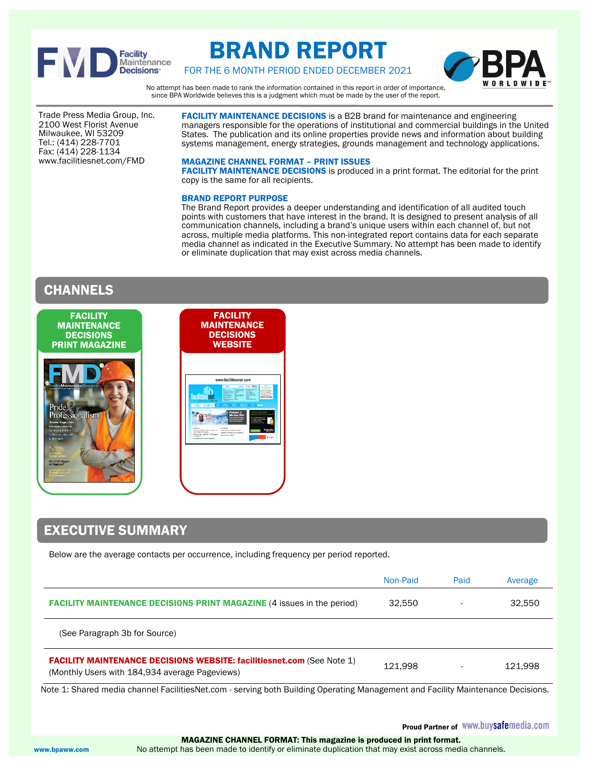

# BRAND REPORT



FOR THE 6 MONTH PERIOD ENDED DECEMBER 2021

No attempt has been made to rank the information contained in this report in order of importance, since BPA Worldwide believes this is a judgment which must be made by the user of the report.

Trade Press Media Group, Inc. 2100 West Florist Avenue Milwaukee, WI 53209 Tel.: (414) 228-7701 Fax: (414) 228-1134 www.facilitiesnet.com/FMD

FACILITY MAINTENANCE DECISIONS is a B2B brand for maintenance and engineering managers responsible for the operations of institutional and commercial buildings in the United States. The publication and its online properties provide news and information about building systems management, energy strategies, grounds management and technology applications.

### MAGAZINE CHANNEL FORMAT – PRINT ISSUES

FACILITY MAINTENANCE DECISIONS is produced in a print format. The editorial for the print copy is the same for all recipients.

### BRAND REPORT PURPOSE

The Brand Report provides a deeper understanding and identification of all audited touch points with customers that have interest in the brand. It is designed to present analysis of all communication channels, including a brand's unique users within each channel of, but not across, multiple media platforms. This non-integrated report contains data for each separate media channel as indicated in the Executive Summary. No attempt has been made to identify or eliminate duplication that may exist across media channels.

# CHANNELS



# EXECUTIVE SUMMARY

Below are the average contacts per occurrence, including frequency per period reported.

|                                                                                                                                 | Non-Paid | Paid | Average |
|---------------------------------------------------------------------------------------------------------------------------------|----------|------|---------|
| <b>FACILITY MAINTENANCE DECISIONS PRINT MAGAZINE (4 issues in the period)</b>                                                   | 32.550   |      | 32,550  |
| (See Paragraph 3b for Source)                                                                                                   |          |      |         |
| <b>FACILITY MAINTENANCE DECISIONS WEBSITE: facilitiesnet.com (See Note 1)</b><br>(Monthly Users with 184,934 average Pageviews) | 121.998  |      | 121.998 |

Note 1: Shared media channel FacilitiesNet.com - serving both Building Operating Management and Facility Maintenance Decisions.

 MAGAZINE CHANNEL FORMAT: This magazine is produced in print format. www.bpaww.com No attempt has been made to identify or eliminate duplication that may exist across media channels.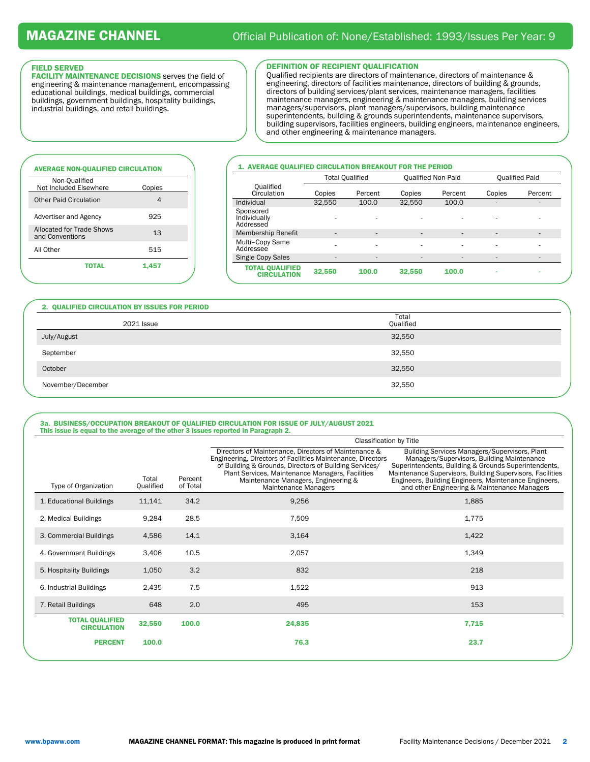### FIELD SERVED

FACILITY MAINTENANCE DECISIONS serves the field of engineering & maintenance management, encompassing educational buildings, medical buildings, commercial buildings, government buildings, hospitality buildings, industrial buildings, and retail buildings.

#### DEFINITION OF RECIPIENT QUALIFICATION

Qualified recipients are directors of maintenance, directors of maintenance & engineering, directors of facilities maintenance, directors of building & grounds, directors of building services/plant services, maintenance managers, facilities maintenance managers, engineering & maintenance managers, building services managers/supervisors, plant managers/supervisors, building maintenance superintendents, building & grounds superintendents, maintenance supervisors, building supervisors, facilities engineers, building engineers, maintenance engineers, and other engineering & maintenance managers.

# AVERAGE NON-QUALIFIED CIRCULATION Non-Qualified Not Included Elsewhere Copies Other Paid Circulation 4 Advertiser and Agency 925 Allocated for Trade Shows Allocated for Trade Shows 13 All Other 515

#### 1. AVERAGE QUALIFIED CIRCULATION BREAKOUT FOR THE PERIOD

|                                              | <b>Total Qualified</b> |                          | <b>Qualified Non-Paid</b> |                              | <b>Qualified Paid</b> |                          |
|----------------------------------------------|------------------------|--------------------------|---------------------------|------------------------------|-----------------------|--------------------------|
| Qualified<br>Circulation                     | Copies                 | Percent                  | Copies                    | Percent                      | Copies                | Percent                  |
| Individual                                   | 32,550                 | 100.0                    | 32,550                    | 100.0                        | ۰                     | ۰                        |
| Sponsored<br>Individually<br>Addressed       |                        |                          |                           | ۰                            |                       | ٠                        |
| Membership Benefit                           | ٠                      | $\overline{\phantom{a}}$ | $\overline{\phantom{a}}$  | $\overline{\phantom{a}}$     | ٠                     |                          |
| Multi-Copy Same<br>Addressee                 |                        |                          | ٠                         | ۰                            |                       |                          |
| Single Copy Sales                            | ۰                      | $\overline{\phantom{a}}$ | $\overline{\phantom{a}}$  | $\qquad \qquad \blacksquare$ | ۰                     | $\overline{\phantom{a}}$ |
| <b>TOTAL QUALIFIED</b><br><b>CIRCULATION</b> | 32,550                 | 100.0                    | 32,550                    | 100.0                        |                       |                          |

#### 2. QUALIFIED CIRCULATION BY ISSUES FOR PERIOD

**TOTAL** 1,457

| 2021 Issue        | Total<br>Qualified |
|-------------------|--------------------|
| July/August       | 32,550             |
| September         | 32,550             |
| October           | 32,550             |
| November/December | 32,550             |

#### 3a. BUSINESS/OCCUPATION BREAKOUT OF QUALIFIED CIRCULATION FOR ISSUE OF JULY/AUGUST 2021 This issue is equal to the average of the other 3 issues reported in Paragraph 2.

|                                              |                    |                     | Classification by Title                                                                                                                                                                                                                                                                          |                                                                                                                                                                                                                                                                                                                           |  |  |  |
|----------------------------------------------|--------------------|---------------------|--------------------------------------------------------------------------------------------------------------------------------------------------------------------------------------------------------------------------------------------------------------------------------------------------|---------------------------------------------------------------------------------------------------------------------------------------------------------------------------------------------------------------------------------------------------------------------------------------------------------------------------|--|--|--|
| Type of Organization                         | Total<br>Qualified | Percent<br>of Total | Directors of Maintenance, Directors of Maintenance &<br>Engineering, Directors of Facilities Maintenance, Directors<br>of Building & Grounds, Directors of Building Services/<br>Plant Services, Maintenance Managers, Facilities<br>Maintenance Managers, Engineering &<br>Maintenance Managers | Building Services Managers/Supervisors, Plant<br>Managers/Supervisors, Building Maintenance<br>Superintendents, Building & Grounds Superintendents,<br>Maintenance Supervisors, Building Supervisors, Facilities<br>Engineers, Building Engineers, Maintenance Engineers,<br>and other Engineering & Maintenance Managers |  |  |  |
| 1. Educational Buildings                     | 11,141             | 34.2                | 9,256                                                                                                                                                                                                                                                                                            | 1,885                                                                                                                                                                                                                                                                                                                     |  |  |  |
| 2. Medical Buildings                         | 9,284              | 28.5                | 7,509                                                                                                                                                                                                                                                                                            | 1,775                                                                                                                                                                                                                                                                                                                     |  |  |  |
| 3. Commercial Buildings                      | 4,586              | 14.1                | 3,164                                                                                                                                                                                                                                                                                            | 1,422                                                                                                                                                                                                                                                                                                                     |  |  |  |
| 4. Government Buildings                      | 3,406              | 10.5                | 2,057                                                                                                                                                                                                                                                                                            | 1,349                                                                                                                                                                                                                                                                                                                     |  |  |  |
| 5. Hospitality Buildings                     | 1,050              | 3.2                 | 832                                                                                                                                                                                                                                                                                              | 218                                                                                                                                                                                                                                                                                                                       |  |  |  |
| 6. Industrial Buildings                      | 2,435              | 7.5                 | 1,522                                                                                                                                                                                                                                                                                            | 913                                                                                                                                                                                                                                                                                                                       |  |  |  |
| 7. Retail Buildings                          | 648                | 2.0                 | 495                                                                                                                                                                                                                                                                                              | 153                                                                                                                                                                                                                                                                                                                       |  |  |  |
| <b>TOTAL QUALIFIED</b><br><b>CIRCULATION</b> | 32,550             | 100.0               | 24,835                                                                                                                                                                                                                                                                                           | 7,715                                                                                                                                                                                                                                                                                                                     |  |  |  |
| <b>PERCENT</b>                               | 100.0              |                     | 76.3                                                                                                                                                                                                                                                                                             | 23.7                                                                                                                                                                                                                                                                                                                      |  |  |  |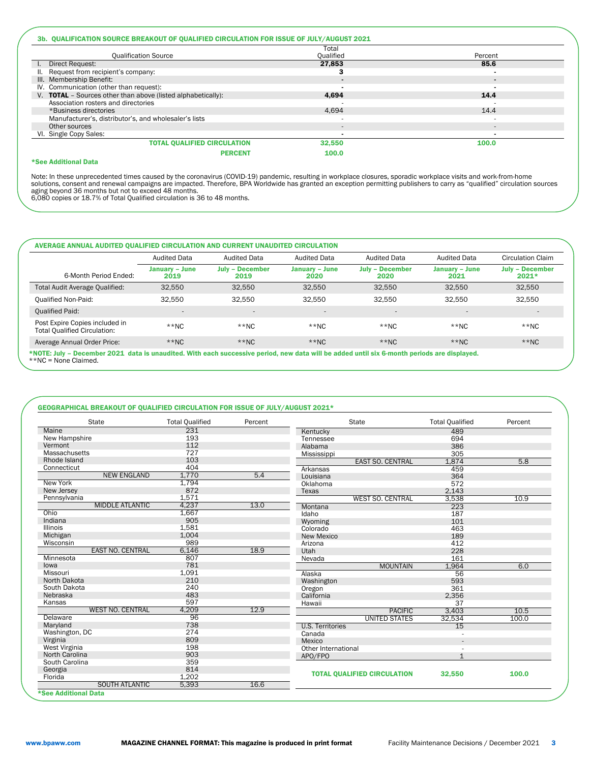|                                                              | Total                    |         |
|--------------------------------------------------------------|--------------------------|---------|
| <b>Qualification Source</b>                                  | Oualified                | Percent |
| I. Direct Request:                                           | 27.853                   | 85.6    |
| II. Request from recipient's company:                        | 3                        |         |
| III. Membership Benefit:                                     |                          |         |
| IV. Communication (other than request):                      |                          |         |
| V. TOTAL - Sources other than above (listed alphabetically): | 4.694                    | 14.4    |
| Association rosters and directories                          |                          |         |
| *Business directories                                        | 4.694                    | 14.4    |
| Manufacturer's, distributor's, and wholesaler's lists        |                          |         |
| Other sources                                                | $\overline{\phantom{a}}$ | $\sim$  |
| VI. Single Copy Sales:                                       |                          |         |
| <b>TOTAL QUALIFIED CIRCULATION</b>                           | 32.550                   | 100.0   |
| <b>PERCENT</b>                                               | 100.0                    |         |

#### \*See Additional Data

Note: In these unprecedented times caused by the coronavirus (COVID-19) pandemic, resulting in workplace closures, sporadic workplace visits and work-from-home<br>aging beyond 36 months but not to exceed 48 months.<br>aging beyo

## AVERAGE ANNUAL AUDITED QUALIFIED CIRCULATION AND CURRENT UNAUDITED CIRCULATION

|                                                                       | <b>Audited Data</b>      | <b>Audited Data</b>            | <b>Audited Data</b>      | <b>Audited Data</b>            | <b>Audited Data</b>      | Circulation Claim                 |
|-----------------------------------------------------------------------|--------------------------|--------------------------------|--------------------------|--------------------------------|--------------------------|-----------------------------------|
| 6-Month Period Ended:                                                 | January – June<br>2019   | <b>July - December</b><br>2019 | January – June<br>2020   | <b>July - December</b><br>2020 | January – June<br>2021   | <b>July - December</b><br>$2021*$ |
| Total Audit Average Qualified:                                        | 32.550                   | 32.550                         | 32.550                   | 32.550                         | 32.550                   | 32,550                            |
| <b>Qualified Non-Paid:</b>                                            | 32.550                   | 32.550                         | 32.550                   | 32.550                         | 32.550                   | 32.550                            |
| <b>Qualified Paid:</b>                                                | $\overline{\phantom{a}}$ | $\overline{a}$                 | $\overline{\phantom{a}}$ | $\qquad \qquad -$              | $\overline{\phantom{a}}$ | $\overline{\phantom{a}}$          |
| Post Expire Copies included in<br><b>Total Oualified Circulation:</b> | $**NC$                   | $*$ NC                         | $**NC$                   | $**NC$                         | $**NC$                   | $**NC$                            |
| Average Annual Order Price:                                           | $**NC$                   | $**NC$                         | $*$ NC                   | $*$ NC                         | $**NC$                   | $*$ NC                            |

\*NOTE: July – December 2021 data is unaudited. With each successive period, new data will be added until six 6-month periods are displayed. \*\*NC = None Claimed.

### GEOGRAPHICAL BREAKOUT OF QUALIFIED CIRCULATION FOR ISSUE OF JULY/AUGUST 2021\*

| <b>State</b>            | <b>Total Qualified</b> | Percent | <b>State</b>                       | <b>Total Qualified</b> | Percent |
|-------------------------|------------------------|---------|------------------------------------|------------------------|---------|
| Maine                   | 231                    |         | Kentucky                           | 489                    |         |
| New Hampshire           | 193                    |         | Tennessee                          | 694                    |         |
| Vermont                 | 112                    |         | Alabama                            | 386                    |         |
| Massachusetts           | 727                    |         | Mississippi                        | 305                    |         |
| Rhode Island            | 103                    |         | <b>EAST SO. CENTRAL</b>            | 1,874                  | 5.8     |
| Connecticut             | 404                    |         | Arkansas                           | 459                    |         |
| <b>NEW ENGLAND</b>      | 1,770                  | 5.4     | Louisiana                          | 364                    |         |
| <b>New York</b>         | 1,794                  |         | Oklahoma                           | 572                    |         |
| New Jersey              | 872                    |         | Texas                              | 2,143                  |         |
| Pennsylvania            | 1,571                  |         | <b>WEST SO. CENTRAL</b>            | 3,538                  | 10.9    |
| <b>MIDDLE ATLANTIC</b>  | 4,237                  | 13.0    | Montana                            | 223                    |         |
| Ohio                    | 1,667                  |         | Idaho                              | 187                    |         |
| Indiana                 | 905                    |         | Wyoming                            | 101                    |         |
| <b>Illinois</b>         | 1,581                  |         | Colorado                           | 463                    |         |
| Michigan                | 1,004                  |         | New Mexico                         | 189                    |         |
| Wisconsin               | 989                    |         | Arizona                            | 412                    |         |
| <b>EAST NO. CENTRAL</b> | 6,146                  | 18.9    | Utah                               | 228                    |         |
| Minnesota               | 807                    |         | Nevada                             | 161                    |         |
| lowa                    | 781                    |         | <b>MOUNTAIN</b>                    | 1,964                  | 6.0     |
| Missouri                | 1,091                  |         | Alaska                             | 56                     |         |
| North Dakota            | 210                    |         | Washington                         | 593                    |         |
| South Dakota            | 240                    |         | Oregon                             | 361                    |         |
| Nebraska                | 483                    |         | California                         | 2,356                  |         |
| Kansas                  | 597                    |         | Hawaii                             | 37                     |         |
| <b>WEST NO. CENTRAL</b> | 4,209                  | 12.9    | <b>PACIFIC</b>                     | 3,403                  | 10.5    |
| Delaware                | 96                     |         | UNITED STATES                      | 32,534                 | 100.0   |
| Maryland                | 738                    |         | <b>U.S. Territories</b>            | 15                     |         |
| Washington, DC          | 274                    |         | Canada                             |                        |         |
| Virginia                | 809                    |         | Mexico                             | $\overline{a}$         |         |
| West Virginia           | 198                    |         | Other International                |                        |         |
| North Carolina          | 903                    |         | APO/FPO                            | 1                      |         |
| South Carolina          | 359                    |         |                                    |                        |         |
| Georgia                 | 814                    |         |                                    |                        |         |
| Florida                 | 1.202                  |         | <b>TOTAL QUALIFIED CIRCULATION</b> | 32,550                 | 100.0   |
| <b>SOUTH ATLANTIC</b>   | 5,393                  | 16.6    |                                    |                        |         |